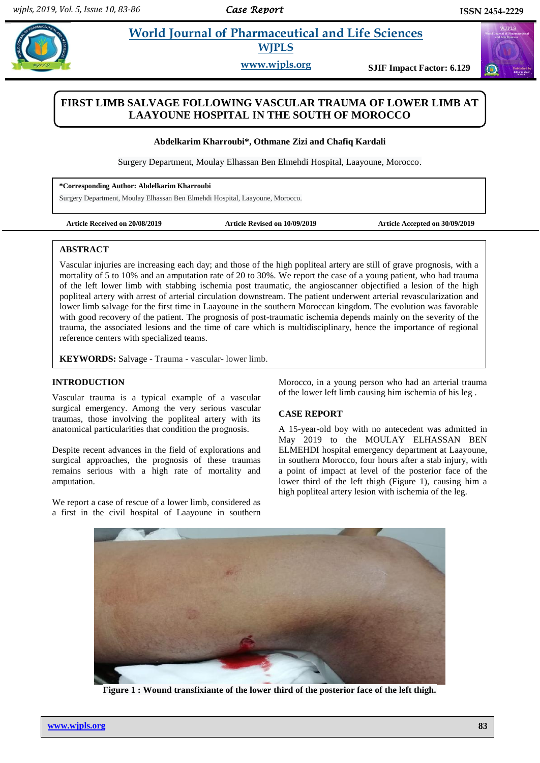# **Particularist** *E***tra** *et al. <b>Pharmaceutical and Life Sciences* **WJPLS**

**www.wjpls.org SJIF Impact Factor: 6.129**

## **FIRST LIMB SALVAGE FOLLOWING VASCULAR TRAUMA OF LOWER LIMB AT LAAYOUNE HOSPITAL IN THE SOUTH OF MOROCCO**

**Abdelkarim Kharroubi\*, Othmane Zizi and Chafiq Kardali**

Surgery Department, Moulay Elhassan Ben Elmehdi Hospital, Laayoune, Morocco.

**\*Corresponding Author: Abdelkarim Kharroubi**

Surgery Department, Moulay Elhassan Ben Elmehdi Hospital, Laayoune, Morocco.

**Article Received on 20/08/2019 Article Revised on 10/09/2019 Article Accepted on 30/09/2019**

#### **ABSTRACT**

Vascular injuries are increasing each day; and those of the high popliteal artery are still of grave prognosis, with a mortality of 5 to 10% and an amputation rate of 20 to 30%. We report the case of a young patient, who had trauma of the left lower limb with stabbing ischemia post traumatic, the angioscanner objectified a lesion of the high popliteal artery with arrest of arterial circulation downstream. The patient underwent arterial revascularization and lower limb salvage for the first time in Laayoune in the southern Moroccan kingdom. The evolution was favorable with good recovery of the patient. The prognosis of post-traumatic ischemia depends mainly on the severity of the trauma, the associated lesions and the time of care which is multidisciplinary, hence the importance of regional reference centers with specialized teams.

**KEYWORDS:** Salvage - Trauma - vascular- lower limb.

#### **INTRODUCTION**

Vascular trauma is a typical example of a vascular surgical emergency. Among the very serious vascular traumas, those involving the popliteal artery with its anatomical particularities that condition the prognosis.

Despite recent advances in the field of explorations and surgical approaches, the prognosis of these traumas remains serious with a high rate of mortality and amputation.

We report a case of rescue of a lower limb, considered as a first in the civil hospital of Laayoune in southern Morocco, in a young person who had an arterial trauma of the lower left limb causing him ischemia of his leg .

#### **CASE REPORT**

A 15-year-old boy with no antecedent was admitted in May 2019 to the MOULAY ELHASSAN BEN ELMEHDI hospital emergency department at Laayoune, in southern Morocco, four hours after a stab injury, with a point of impact at level of the posterior face of the lower third of the left thigh (Figure 1), causing him a high popliteal artery lesion with ischemia of the leg.



**Figure 1 : Wound transfixiante of the lower third of the posterior face of the left thigh.**

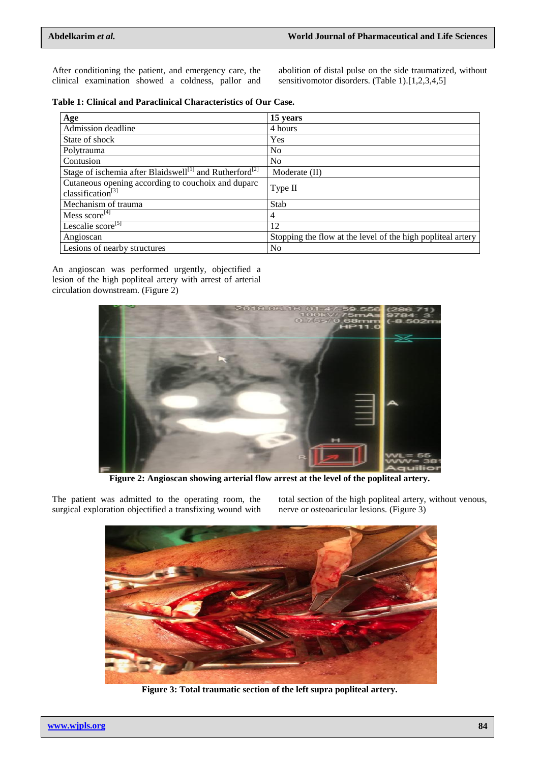After conditioning the patient, and emergency care, the clinical examination showed a coldness, pallor and abolition of distal pulse on the side traumatized, without sensitivomotor disorders. (Table 1).[1,2,3,4,5]

|  |  |  |  | Table 1: Clinical and Paraclinical Characteristics of Our Case. |  |  |  |
|--|--|--|--|-----------------------------------------------------------------|--|--|--|
|--|--|--|--|-----------------------------------------------------------------|--|--|--|

| Age                                                                                 | 15 years                                                    |  |  |  |
|-------------------------------------------------------------------------------------|-------------------------------------------------------------|--|--|--|
| Admission deadline                                                                  | 4 hours                                                     |  |  |  |
| State of shock                                                                      | Yes                                                         |  |  |  |
| Polytrauma                                                                          | N <sub>o</sub>                                              |  |  |  |
| Contusion                                                                           | N <sub>o</sub>                                              |  |  |  |
| Stage of ischemia after Blaidswell <sup>[1]</sup> and Rutherford <sup>[2]</sup>     | Moderate (II)                                               |  |  |  |
| Cutaneous opening according to couchoix and duparc<br>classification <sup>[3]</sup> | Type II                                                     |  |  |  |
| Mechanism of trauma                                                                 | Stab                                                        |  |  |  |
| Mess score $^{[4]}$                                                                 | 4                                                           |  |  |  |
| Lescalie $score^{[5]}$                                                              | 12                                                          |  |  |  |
| Angioscan                                                                           | Stopping the flow at the level of the high popliteal artery |  |  |  |
| Lesions of nearby structures                                                        | No                                                          |  |  |  |

An angioscan was performed urgently, objectified a lesion of the high popliteal artery with arrest of arterial circulation downstream. (Figure 2)



**Figure 2: Angioscan showing arterial flow arrest at the level of the popliteal artery.**

The patient was admitted to the operating room, the surgical exploration objectified a transfixing wound with total section of the high popliteal artery, without venous, nerve or osteoaricular lesions. (Figure 3)



**Figure 3: Total traumatic section of the left supra popliteal artery.**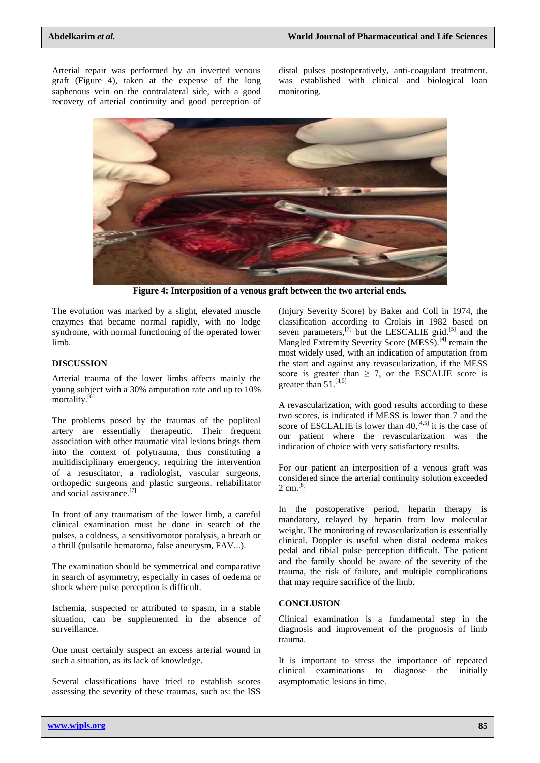Arterial repair was performed by an inverted venous graft (Figure 4), taken at the expense of the long saphenous vein on the contralateral side, with a good recovery of arterial continuity and good perception of

distal pulses postoperatively, anti-coagulant treatment. was established with clinical and biological loan monitoring.



**Figure 4: Interposition of a venous graft between the two arterial ends.**

The evolution was marked by a slight, elevated muscle enzymes that became normal rapidly, with no lodge syndrome, with normal functioning of the operated lower limb.

#### **DISCUSSION**

Arterial trauma of the lower limbs affects mainly the young subject with a 30% amputation rate and up to 10% mortality.<sup>[6]</sup>

The problems posed by the traumas of the popliteal artery are essentially therapeutic. Their frequent association with other traumatic vital lesions brings them into the context of polytrauma, thus constituting a multidisciplinary emergency, requiring the intervention of a resuscitator, a radiologist, vascular surgeons, orthopedic surgeons and plastic surgeons. rehabilitator and social assistance.[7]

In front of any traumatism of the lower limb, a careful clinical examination must be done in search of the pulses, a coldness, a sensitivomotor paralysis, a breath or a thrill (pulsatile hematoma, false aneurysm, FAV...).

The examination should be symmetrical and comparative in search of asymmetry, especially in cases of oedema or shock where pulse perception is difficult.

Ischemia, suspected or attributed to spasm, in a stable situation, can be supplemented in the absence of surveillance.

One must certainly suspect an excess arterial wound in such a situation, as its lack of knowledge.

Several classifications have tried to establish scores assessing the severity of these traumas, such as: the ISS

(Injury Severity Score) by Baker and Coll in 1974, the classification according to Crolais in 1982 based on seven parameters, $^{[7]}$  but the LESCALIE grid.<sup>[5]</sup> and the Mangled Extremity Severity Score (MESS).<sup>[4]</sup> remain the most widely used, with an indication of amputation from the start and against any revascularization, if the MESS score is greater than  $\geq$  7, or the ESCALIE score is greater than  $51.^{[4,5]}$ 

A revascularization, with good results according to these two scores, is indicated if MESS is lower than 7 and the score of ESCLALIE is lower than  $40$ ,  $[4,5]$  it is the case of our patient where the revascularization was the indication of choice with very satisfactory results.

For our patient an interposition of a venous graft was considered since the arterial continuity solution exceeded 2 cm.<sup>[8]</sup>

In the postoperative period, heparin therapy is mandatory, relayed by heparin from low molecular weight. The monitoring of revascularization is essentially clinical. Doppler is useful when distal oedema makes pedal and tibial pulse perception difficult. The patient and the family should be aware of the severity of the trauma, the risk of failure, and multiple complications that may require sacrifice of the limb.

### **CONCLUSION**

Clinical examination is a fundamental step in the diagnosis and improvement of the prognosis of limb trauma.

It is important to stress the importance of repeated clinical examinations to diagnose the initially asymptomatic lesions in time.